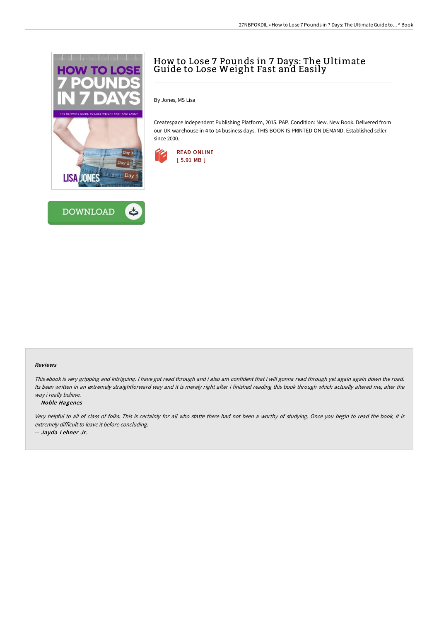



# How to Lose 7 Pounds in 7 Days: The Ultimate Guide to Lose Weight Fast and Easily

By Jones, MS Lisa

Createspace Independent Publishing Platform, 2015. PAP. Condition: New. New Book. Delivered from our UK warehouse in 4 to 14 business days. THIS BOOK IS PRINTED ON DEMAND. Established seller since 2000.



#### Reviews

This ebook is very gripping and intriguing. <sup>I</sup> have got read through and i also am confident that i will gonna read through yet again again down the road. Its been written in an extremely straightforward way and it is merely right after i finished reading this book through which actually altered me, alter the way i really believe.

#### -- Noble Hagenes

Very helpful to all of class of folks. This is certainly for all who statte there had not been <sup>a</sup> worthy of studying. Once you begin to read the book, it is extremely difficult to leave it before concluding.

-- Jayda Lehner Jr.